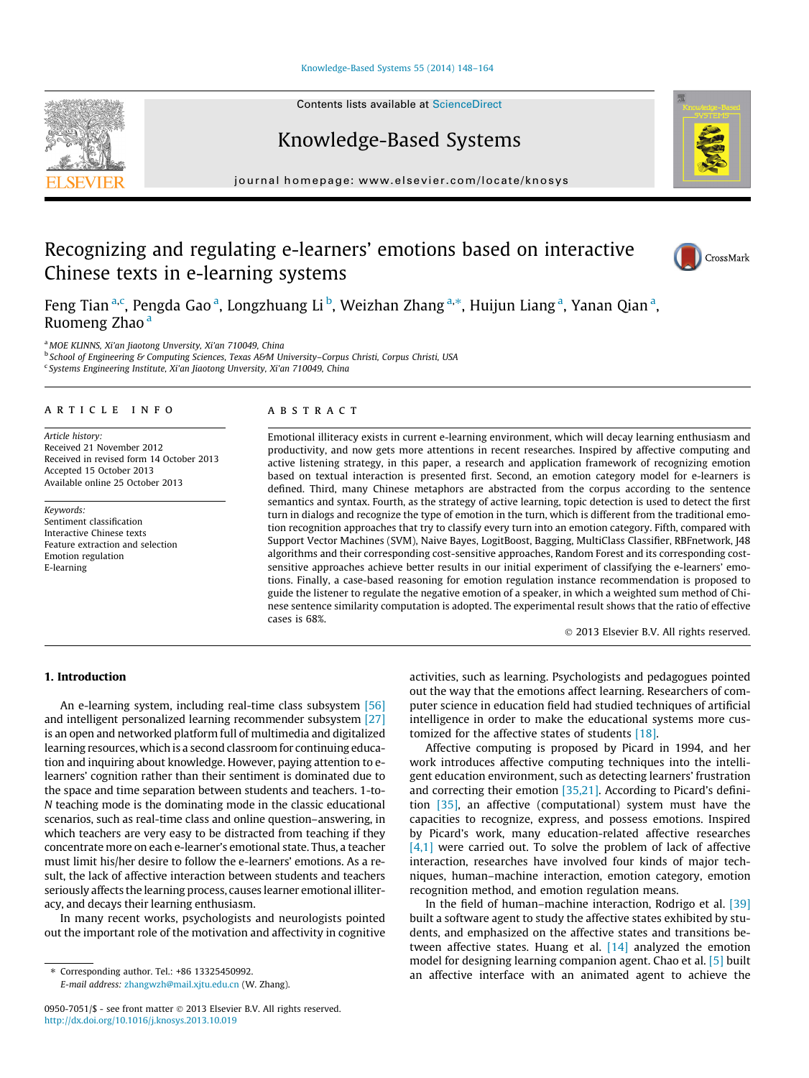#### [Knowledge-Based Systems 55 \(2014\) 148–164](http://dx.doi.org/10.1016/j.knosys.2013.10.019)

Contents lists available at [ScienceDirect](http://www.sciencedirect.com/science/journal/09507051)

## Knowledge-Based Systems

journal homepage: [www.elsevier.com/locate/knosys](http://www.elsevier.com/locate/knosys)

# Recognizing and regulating e-learners' emotions based on interactive Chinese texts in e-learning systems



Feng Tian <sup>a,c</sup>, Pengda Gao <sup>a</sup>, Longzhuang Li <sup>b</sup>, Weizhan Zhang <sup>a,\*</sup>, Huijun Liang <sup>a</sup>, Yanan Qian <sup>a</sup>, Ruomeng Zhao a

<sup>a</sup> MOE KLINNS, Xi'an Jiaotong Unversity, Xi'an 710049, China

b School of Engineering & Computing Sciences, Texas A&M University–Corpus Christi, Corpus Christi, USA <sup>c</sup> Systems Engineering Institute, Xi'an Jiaotong Unversity, Xi'an 710049, China

#### article info

Article history: Received 21 November 2012 Received in revised form 14 October 2013 Accepted 15 October 2013 Available online 25 October 2013

Keywords: Sentiment classification Interactive Chinese texts Feature extraction and selection Emotion regulation E-learning

### **ABSTRACT**

Emotional illiteracy exists in current e-learning environment, which will decay learning enthusiasm and productivity, and now gets more attentions in recent researches. Inspired by affective computing and active listening strategy, in this paper, a research and application framework of recognizing emotion based on textual interaction is presented first. Second, an emotion category model for e-learners is defined. Third, many Chinese metaphors are abstracted from the corpus according to the sentence semantics and syntax. Fourth, as the strategy of active learning, topic detection is used to detect the first turn in dialogs and recognize the type of emotion in the turn, which is different from the traditional emotion recognition approaches that try to classify every turn into an emotion category. Fifth, compared with Support Vector Machines (SVM), Naive Bayes, LogitBoost, Bagging, MultiClass Classifier, RBFnetwork, J48 algorithms and their corresponding cost-sensitive approaches, Random Forest and its corresponding costsensitive approaches achieve better results in our initial experiment of classifying the e-learners' emotions. Finally, a case-based reasoning for emotion regulation instance recommendation is proposed to guide the listener to regulate the negative emotion of a speaker, in which a weighted sum method of Chinese sentence similarity computation is adopted. The experimental result shows that the ratio of effective cases is 68%.

- 2013 Elsevier B.V. All rights reserved.

### 1. Introduction

An e-learning system, including real-time class subsystem [\[56\]](#page--1-0) and intelligent personalized learning recommender subsystem [\[27\]](#page--1-0) is an open and networked platform full of multimedia and digitalized learning resources, which is a second classroom for continuing education and inquiring about knowledge. However, paying attention to elearners' cognition rather than their sentiment is dominated due to the space and time separation between students and teachers. 1-to-N teaching mode is the dominating mode in the classic educational scenarios, such as real-time class and online question–answering, in which teachers are very easy to be distracted from teaching if they concentrate more on each e-learner's emotional state. Thus, a teacher must limit his/her desire to follow the e-learners' emotions. As a result, the lack of affective interaction between students and teachers seriously affects the learning process, causes learner emotional illiteracy, and decays their learning enthusiasm.

In many recent works, psychologists and neurologists pointed out the important role of the motivation and affectivity in cognitive

⇑ Corresponding author. Tel.: +86 13325450992. E-mail address: [zhangwzh@mail.xjtu.edu.cn](mailto:zhangwzh@mail.xjtu.edu.cn) (W. Zhang). activities, such as learning. Psychologists and pedagogues pointed out the way that the emotions affect learning. Researchers of computer science in education field had studied techniques of artificial intelligence in order to make the educational systems more customized for the affective states of students [\[18\]](#page--1-0).

Affective computing is proposed by Picard in 1994, and her work introduces affective computing techniques into the intelligent education environment, such as detecting learners' frustration and correcting their emotion [\[35,21\].](#page--1-0) According to Picard's definition [\[35\]](#page--1-0), an affective (computational) system must have the capacities to recognize, express, and possess emotions. Inspired by Picard's work, many education-related affective researches  $[4,1]$  were carried out. To solve the problem of lack of affective interaction, researches have involved four kinds of major techniques, human–machine interaction, emotion category, emotion recognition method, and emotion regulation means.

In the field of human–machine interaction, Rodrigo et al. [\[39\]](#page--1-0) built a software agent to study the affective states exhibited by students, and emphasized on the affective states and transitions between affective states. Huang et al.  $[14]$  analyzed the emotion model for designing learning companion agent. Chao et al. [\[5\]](#page--1-0) built an affective interface with an animated agent to achieve the



<sup>0950-7051/\$ -</sup> see front matter © 2013 Elsevier B.V. All rights reserved. <http://dx.doi.org/10.1016/j.knosys.2013.10.019>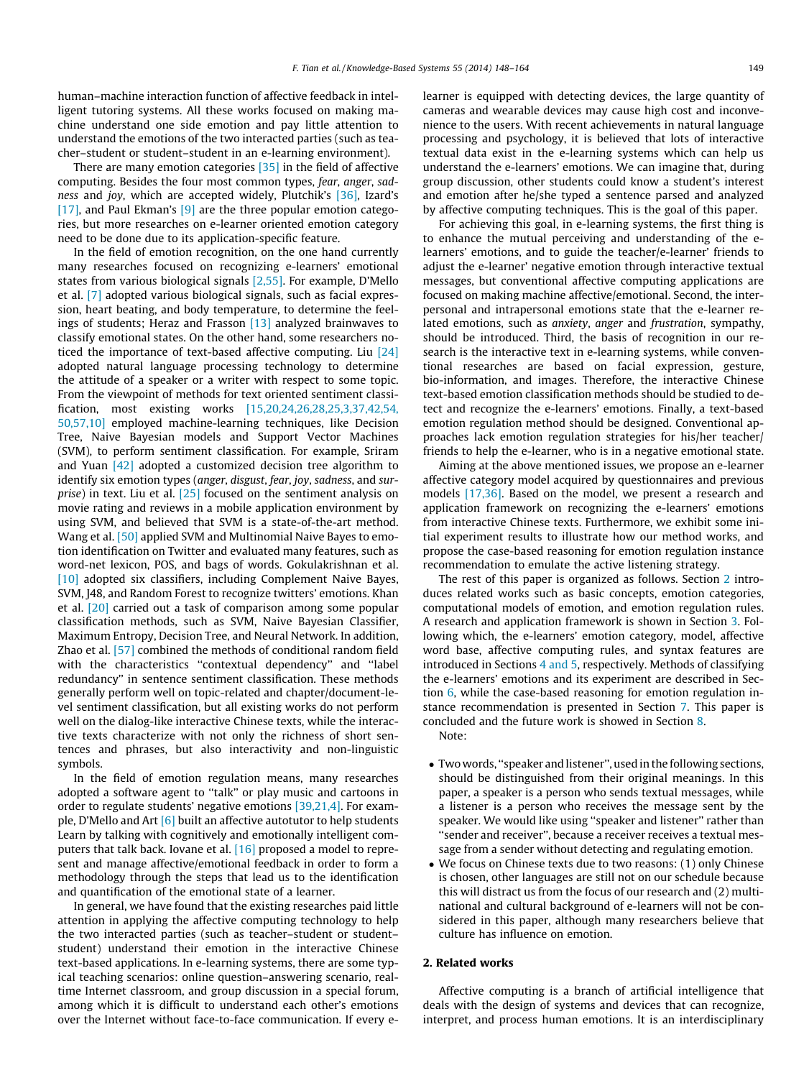human–machine interaction function of affective feedback in intelligent tutoring systems. All these works focused on making machine understand one side emotion and pay little attention to understand the emotions of the two interacted parties (such as teacher–student or student–student in an e-learning environment).

There are many emotion categories [\[35\]](#page--1-0) in the field of affective computing. Besides the four most common types, fear, anger, sad-ness and joy, which are accepted widely, Plutchik's [\[36\]](#page--1-0), Izard's [\[17\],](#page--1-0) and Paul Ekman's [\[9\]](#page--1-0) are the three popular emotion categories, but more researches on e-learner oriented emotion category need to be done due to its application-specific feature.

In the field of emotion recognition, on the one hand currently many researches focused on recognizing e-learners' emotional states from various biological signals [\[2,55\]](#page--1-0). For example, D'Mello et al. [\[7\]](#page--1-0) adopted various biological signals, such as facial expression, heart beating, and body temperature, to determine the feelings of students; Heraz and Frasson [\[13\]](#page--1-0) analyzed brainwaves to classify emotional states. On the other hand, some researchers noticed the importance of text-based affective computing. Liu [\[24\]](#page--1-0) adopted natural language processing technology to determine the attitude of a speaker or a writer with respect to some topic. From the viewpoint of methods for text oriented sentiment classification, most existing works [\[15,20,24,26,28,25,3,37,42,54,](#page--1-0) [50,57,10\]](#page--1-0) employed machine-learning techniques, like Decision Tree, Naive Bayesian models and Support Vector Machines (SVM), to perform sentiment classification. For example, Sriram and Yuan  $[42]$  adopted a customized decision tree algorithm to identify six emotion types (anger, disgust, fear, joy, sadness, and surprise) in text. Liu et al.  $[25]$  focused on the sentiment analysis on movie rating and reviews in a mobile application environment by using SVM, and believed that SVM is a state-of-the-art method. Wang et al. [\[50\]](#page--1-0) applied SVM and Multinomial Naive Bayes to emotion identification on Twitter and evaluated many features, such as word-net lexicon, POS, and bags of words. Gokulakrishnan et al. [\[10\]](#page--1-0) adopted six classifiers, including Complement Naive Bayes, SVM, J48, and Random Forest to recognize twitters' emotions. Khan et al. [\[20\]](#page--1-0) carried out a task of comparison among some popular classification methods, such as SVM, Naive Bayesian Classifier, Maximum Entropy, Decision Tree, and Neural Network. In addition, Zhao et al. [\[57\]](#page--1-0) combined the methods of conditional random field with the characteristics ''contextual dependency'' and ''label redundancy'' in sentence sentiment classification. These methods generally perform well on topic-related and chapter/document-level sentiment classification, but all existing works do not perform well on the dialog-like interactive Chinese texts, while the interactive texts characterize with not only the richness of short sentences and phrases, but also interactivity and non-linguistic symbols.

In the field of emotion regulation means, many researches adopted a software agent to ''talk'' or play music and cartoons in order to regulate students' negative emotions [\[39,21,4\].](#page--1-0) For example, D'Mello and Art [\[6\]](#page--1-0) built an affective autotutor to help students Learn by talking with cognitively and emotionally intelligent computers that talk back. Iovane et al. [\[16\]](#page--1-0) proposed a model to represent and manage affective/emotional feedback in order to form a methodology through the steps that lead us to the identification and quantification of the emotional state of a learner.

In general, we have found that the existing researches paid little attention in applying the affective computing technology to help the two interacted parties (such as teacher–student or student– student) understand their emotion in the interactive Chinese text-based applications. In e-learning systems, there are some typical teaching scenarios: online question–answering scenario, realtime Internet classroom, and group discussion in a special forum, among which it is difficult to understand each other's emotions over the Internet without face-to-face communication. If every elearner is equipped with detecting devices, the large quantity of cameras and wearable devices may cause high cost and inconvenience to the users. With recent achievements in natural language processing and psychology, it is believed that lots of interactive textual data exist in the e-learning systems which can help us understand the e-learners' emotions. We can imagine that, during group discussion, other students could know a student's interest and emotion after he/she typed a sentence parsed and analyzed by affective computing techniques. This is the goal of this paper.

For achieving this goal, in e-learning systems, the first thing is to enhance the mutual perceiving and understanding of the elearners' emotions, and to guide the teacher/e-learner' friends to adjust the e-learner' negative emotion through interactive textual messages, but conventional affective computing applications are focused on making machine affective/emotional. Second, the interpersonal and intrapersonal emotions state that the e-learner related emotions, such as anxiety, anger and frustration, sympathy, should be introduced. Third, the basis of recognition in our research is the interactive text in e-learning systems, while conventional researches are based on facial expression, gesture, bio-information, and images. Therefore, the interactive Chinese text-based emotion classification methods should be studied to detect and recognize the e-learners' emotions. Finally, a text-based emotion regulation method should be designed. Conventional approaches lack emotion regulation strategies for his/her teacher/ friends to help the e-learner, who is in a negative emotional state.

Aiming at the above mentioned issues, we propose an e-learner affective category model acquired by questionnaires and previous models [\[17,36\]](#page--1-0). Based on the model, we present a research and application framework on recognizing the e-learners' emotions from interactive Chinese texts. Furthermore, we exhibit some initial experiment results to illustrate how our method works, and propose the case-based reasoning for emotion regulation instance recommendation to emulate the active listening strategy.

The rest of this paper is organized as follows. Section 2 introduces related works such as basic concepts, emotion categories, computational models of emotion, and emotion regulation rules. A research and application framework is shown in Section [3](#page--1-0). Following which, the e-learners' emotion category, model, affective word base, affective computing rules, and syntax features are introduced in Sections [4 and 5](#page--1-0), respectively. Methods of classifying the e-learners' emotions and its experiment are described in Section [6](#page--1-0), while the case-based reasoning for emotion regulation instance recommendation is presented in Section [7.](#page--1-0) This paper is concluded and the future work is showed in Section [8](#page--1-0).

Note:

- Two words, ''speaker and listener'', used in the following sections, should be distinguished from their original meanings. In this paper, a speaker is a person who sends textual messages, while a listener is a person who receives the message sent by the speaker. We would like using ''speaker and listener'' rather than ''sender and receiver'', because a receiver receives a textual message from a sender without detecting and regulating emotion.
- We focus on Chinese texts due to two reasons: (1) only Chinese is chosen, other languages are still not on our schedule because this will distract us from the focus of our research and (2) multinational and cultural background of e-learners will not be considered in this paper, although many researchers believe that culture has influence on emotion.

## 2. Related works

Affective computing is a branch of artificial intelligence that deals with the design of systems and devices that can recognize, interpret, and process human emotions. It is an interdisciplinary